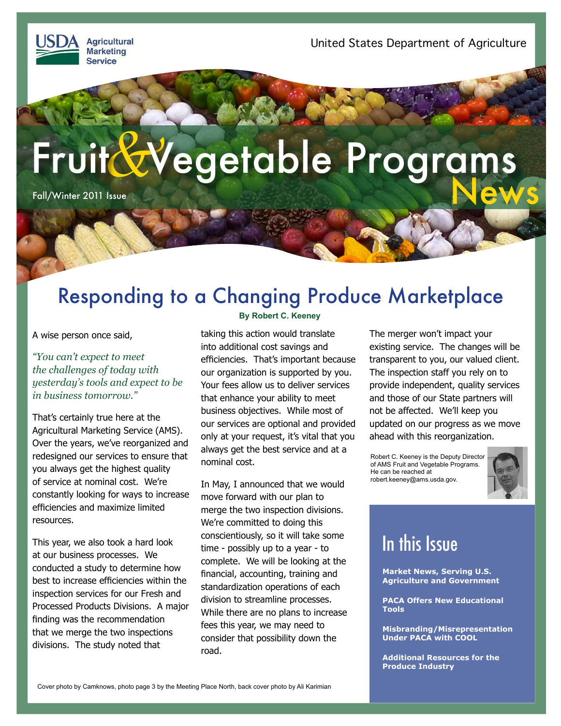**Agricultural Marketing Service** 

# Fruit & Vegetable Programs

Fall/Winter 2011 Issue

### Responding to a Changing Produce Marketplace

A wise person once said,

*"You can't expect to meet the challenges of today with yesterday's tools and expect to be in business tomorrow."*

That's certainly true here at the Agricultural Marketing Service (AMS). Over the years, we've reorganized and redesigned our services to ensure that you always get the highest quality of service at nominal cost. We're constantly looking for ways to increase efficiencies and maximize limited resources.

This year, we also took a hard look at our business processes. We conducted a study to determine how best to increase efficiencies within the inspection services for our Fresh and Processed Products Divisions. A major finding was the recommendation that we merge the two inspections divisions. The study noted that

#### **By Robert C. Keeney**

taking this action would translate into additional cost savings and efficiencies. That's important because our organization is supported by you. Your fees allow us to deliver services that enhance your ability to meet business objectives. While most of our services are optional and provided only at your request, it's vital that you always get the best service and at a nominal cost.

In May, I announced that we would move forward with our plan to merge the two inspection divisions. We're committed to doing this conscientiously, so it will take some time - possibly up to a year - to complete. We will be looking at the financial, accounting, training and standardization operations of each division to streamline processes. While there are no plans to increase fees this year, we may need to consider that possibility down the road.

The merger won't impact your existing service. The changes will be transparent to you, our valued client. The inspection staff you rely on to provide independent, quality services and those of our State partners will not be affected. We'll keep you updated on our progress as we move ahead with this reorganization.

Robert C. Keeney is the Deputy Director of AMS Fruit and Vegetable Programs. He can be reached at robert.keeney@ams.usda.gov.



### In this Issue

**[Market News, Serving U.S.](#page-1-0)  [Agriculture and Government](#page-1-0)**

**[PACA Offers New Educational](#page-1-0)  [Tools](#page-1-0)**

**[Misbranding/Misrepresentation](#page-2-0)  [Under PACA with COOL](#page-2-0)**

**[Additional Resources for the](#page--1-0)  [Produce Industry](#page--1-0)**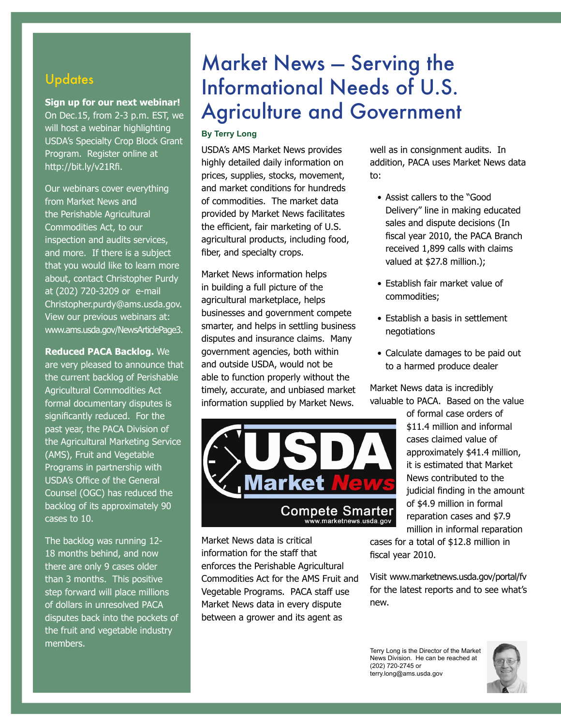#### <span id="page-1-0"></span>**Updates**

**Sign up for our next webinar!** 

On Dec.15, from 2-3 p.m. EST, we will host a webinar highlighting USDA's Specialty Crop Block Grant Program.Register online at http://bit.ly/v21Rfi.

Our webinars cover everything from Market News and the Perishable Agricultural Commodities Act, to our inspection and audits services, and more. If there is a subject that you would like to learn more about, contact Christopher Purdy at (202) 720-3209 or e-mail Christopher.purdy@ams.usda.gov. View our previous webinars at: www.ams.usda.gov/NewsArticlePage3.

**Reduced PACA Backlog.** We are very pleased to announce that the current backlog of Perishable Agricultural Commodities Act formal documentary disputes is significantly reduced. For the past year, the PACA Division of the Agricultural Marketing Service (AMS), Fruit and Vegetable Programs in partnership with USDA's Office of the General Counsel (OGC) has reduced the backlog of its approximately 90 cases to 10.

The backlog was running 12- 18 months behind, and now there are only 9 cases older than 3 months. This positive step forward will place millions of dollars in unresolved PACA disputes back into the pockets of the fruit and vegetable industry members.

### Market News — Serving the Informational Needs of U.S. Agriculture and Government

#### **By Terry Long**

USDA's AMS Market News provides highly detailed daily information on prices, supplies, stocks, movement, and market conditions for hundreds of commodities. The market data provided by Market News facilitates the efficient, fair marketing of U.S. agricultural products, including food, fiber, and specialty crops.

Market News information helps in building a full picture of the agricultural marketplace, helps businesses and government compete smarter, and helps in settling business disputes and insurance claims. Many government agencies, both within and outside USDA, would not be able to function properly without the timely, accurate, and unbiased market information supplied by Market News.



Market News data is critical information for the staff that enforces the Perishable Agricultural Commodities Act for the AMS Fruit and Vegetable Programs. PACA staff use Market News data in every dispute between a grower and its agent as

well as in consignment audits. In addition, PACA uses Market News data to:

- Assist callers to the "Good Delivery" line in making educated sales and dispute decisions (In fiscal year 2010, the PACA Branch received 1,899 calls with claims valued at \$27.8 million.);
- Establish fair market value of commodities;
- Establish a basis in settlement negotiations
- Calculate damages to be paid out to a harmed produce dealer

Market News data is incredibly valuable to PACA. Based on the value

> of formal case orders of \$11.4 million and informal cases claimed value of approximately \$41.4 million, it is estimated that Market News contributed to the judicial finding in the amount of \$4.9 million in formal reparation cases and \$7.9 million in informal reparation

cases for a total of \$12.8 million in fiscal year 2010.

Visit www.marketnews.usda.gov/portal/fv for the latest reports and to see what's new.

Terry Long is the Director of the Market News Division. He can be reached at (202) 720-2745 or terry.long@ams.usda.gov

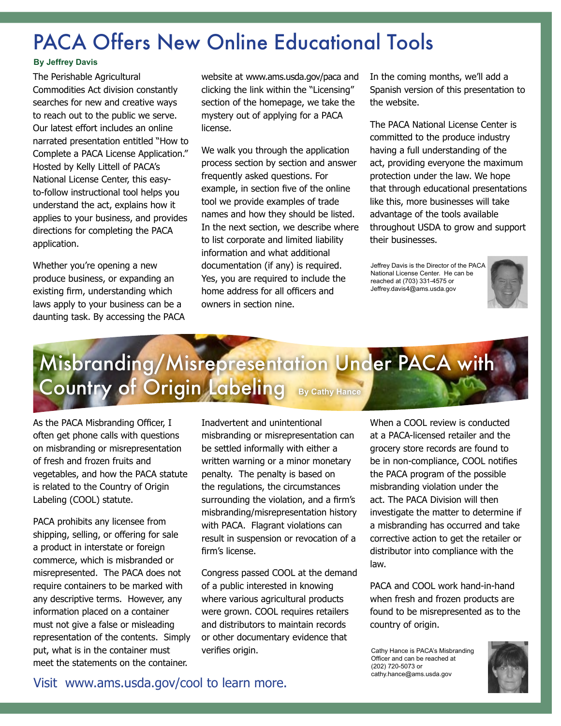### <span id="page-2-0"></span>PACA Offers New Online Educational Tools

#### **By Jeffrey Davis**

The Perishable Agricultural Commodities Act division constantly searches for new and creative ways to reach out to the public we serve. Our latest effort includes an online narrated presentation entitled "How to Complete a PACA License Application." Hosted by Kelly Littell of PACA's National License Center, this easyto-follow instructional tool helps you understand the act, explains how it applies to your business, and provides directions for completing the PACA application.

Whether you're opening a new produce business, or expanding an existing firm, understanding which laws apply to your business can be a daunting task. By accessing the PACA

website at www.ams.usda.gov/paca and clicking the link within the "Licensing" section of the homepage, we take the mystery out of applying for a PACA license.

We walk you through the application process section by section and answer frequently asked questions. For example, in section five of the online tool we provide examples of trade names and how they should be listed. In the next section, we describe where to list corporate and limited liability information and what additional documentation (if any) is required. Yes, you are required to include the home address for all officers and owners in section nine.

In the coming months, we'll add a Spanish version of this presentation to the website.

The PACA National License Center is committed to the produce industry having a full understanding of the act, providing everyone the maximum protection under the law. We hope that through educational presentations like this, more businesses will take advantage of the tools available throughout USDA to grow and support their businesses.

Jeffrey Davis is the Director of the PACA National License Center. He can be reached at (703) 331-4575 or Jeffrey.davis4@ams.usda.gov



### Misbranding/Misrepresentation Under PACA with Country of Origin Labeling **By Cathy Hance**

As the PACA Misbranding Officer, I often get phone calls with questions on misbranding or misrepresentation of fresh and frozen fruits and vegetables, and how the PACA statute is related to the Country of Origin Labeling (COOL) statute.

PACA prohibits any licensee from shipping, selling, or offering for sale a product in interstate or foreign commerce, which is misbranded or misrepresented. The PACA does not require containers to be marked with any descriptive terms. However, any information placed on a container must not give a false or misleading representation of the contents. Simply put, what is in the container must meet the statements on the container.

Inadvertent and unintentional misbranding or misrepresentation can be settled informally with either a written warning or a minor monetary penalty. The penalty is based on the regulations, the circumstances surrounding the violation, and a firm's misbranding/misrepresentation history with PACA. Flagrant violations can result in suspension or revocation of a firm's license.

Congress passed COOL at the demand of a public interested in knowing where various agricultural products were grown. COOL requires retailers and distributors to maintain records or other documentary evidence that verifies origin.

When a COOL review is conducted at a PACA-licensed retailer and the grocery store records are found to be in non-compliance, COOL notifies the PACA program of the possible misbranding violation under the act. The PACA Division will then investigate the matter to determine if a misbranding has occurred and take corrective action to get the retailer or distributor into compliance with the law.

PACA and COOL work hand-in-hand when fresh and frozen products are found to be misrepresented as to the country of origin.

Cathy Hance is PACA's Misbranding Officer and can be reached at (202) 720-5073 or cathy.hance@ams.usda.gov



Visit www.ams.usda.gov/cool to learn more.